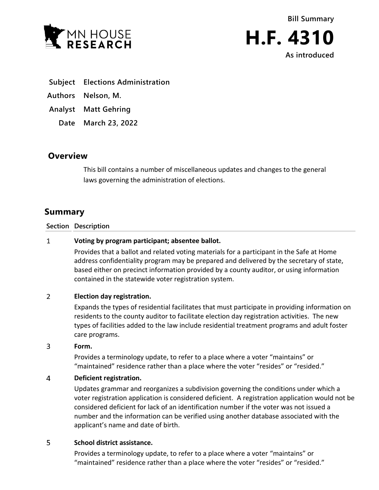



- **Subject Elections Administration**
- **Authors Nelson, M.**
- **Analyst Matt Gehring**
	- **Date March 23, 2022**

# **Overview**

This bill contains a number of miscellaneous updates and changes to the general laws governing the administration of elections.

# **Summary**

### **Section Description**

#### $\mathbf{1}$ **Voting by program participant; absentee ballot.**

Provides that a ballot and related voting materials for a participant in the Safe at Home address confidentiality program may be prepared and delivered by the secretary of state, based either on precinct information provided by a county auditor, or using information contained in the statewide voter registration system.

#### $\overline{2}$ **Election day registration.**

Expands the types of residential facilitates that must participate in providing information on residents to the county auditor to facilitate election day registration activities. The new types of facilities added to the law include residential treatment programs and adult foster care programs.

#### 3 **Form.**

Provides a terminology update, to refer to a place where a voter "maintains" or "maintained" residence rather than a place where the voter "resides" or "resided."

#### $\overline{4}$ **Deficient registration.**

Updates grammar and reorganizes a subdivision governing the conditions under which a voter registration application is considered deficient. A registration application would not be considered deficient for lack of an identification number if the voter was not issued a number and the information can be verified using another database associated with the applicant's name and date of birth.

#### 5 **School district assistance.**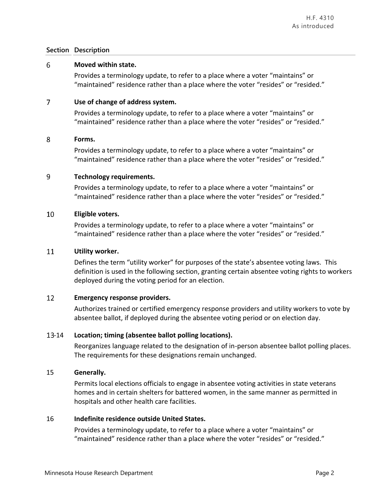#### 6 **Moved within state.**

Provides a terminology update, to refer to a place where a voter "maintains" or "maintained" residence rather than a place where the voter "resides" or "resided."

#### $\overline{7}$ **Use of change of address system.**

Provides a terminology update, to refer to a place where a voter "maintains" or "maintained" residence rather than a place where the voter "resides" or "resided."

#### 8 **Forms.**

Provides a terminology update, to refer to a place where a voter "maintains" or "maintained" residence rather than a place where the voter "resides" or "resided."

#### 9 **Technology requirements.**

Provides a terminology update, to refer to a place where a voter "maintains" or "maintained" residence rather than a place where the voter "resides" or "resided."

#### 10 **Eligible voters.**

Provides a terminology update, to refer to a place where a voter "maintains" or "maintained" residence rather than a place where the voter "resides" or "resided."

#### 11 **Utility worker.**

Defines the term "utility worker" for purposes of the state's absentee voting laws. This definition is used in the following section, granting certain absentee voting rights to workers deployed during the voting period for an election.

#### 12 **Emergency response providers.**

Authorizes trained or certified emergency response providers and utility workers to vote by absentee ballot, if deployed during the absentee voting period or on election day.

## -14 **Location; timing (absentee ballot polling locations).**

Reorganizes language related to the designation of in-person absentee ballot polling places. The requirements for these designations remain unchanged.

## 15 **Generally.**

Permits local elections officials to engage in absentee voting activities in state veterans homes and in certain shelters for battered women, in the same manner as permitted in hospitals and other health care facilities.

## 16 **Indefinite residence outside United States.**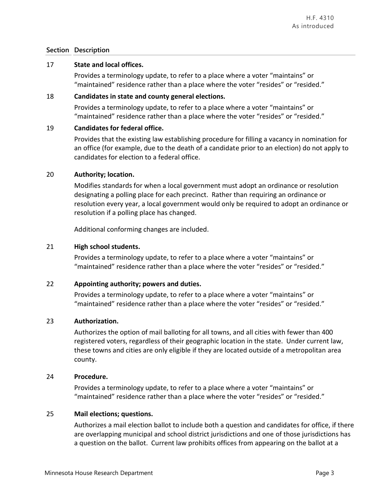## 17 **State and local offices.**

Provides a terminology update, to refer to a place where a voter "maintains" or "maintained" residence rather than a place where the voter "resides" or "resided."

## 18 **Candidates in state and county general elections.**

Provides a terminology update, to refer to a place where a voter "maintains" or "maintained" residence rather than a place where the voter "resides" or "resided."

## 19 **Candidates for federal office.**

Provides that the existing law establishing procedure for filling a vacancy in nomination for an office (for example, due to the death of a candidate prior to an election) do not apply to candidates for election to a federal office.

## 20 **Authority; location.**

Modifies standards for when a local government must adopt an ordinance or resolution designating a polling place for each precinct. Rather than requiring an ordinance or resolution every year, a local government would only be required to adopt an ordinance or resolution if a polling place has changed.

Additional conforming changes are included.

## 21 **High school students.**

Provides a terminology update, to refer to a place where a voter "maintains" or "maintained" residence rather than a place where the voter "resides" or "resided."

## 22 **Appointing authority; powers and duties.**

Provides a terminology update, to refer to a place where a voter "maintains" or "maintained" residence rather than a place where the voter "resides" or "resided."

## 23 **Authorization.**

Authorizes the option of mail balloting for all towns, and all cities with fewer than 400 registered voters, regardless of their geographic location in the state. Under current law, these towns and cities are only eligible if they are located outside of a metropolitan area county.

## 24 **Procedure.**

Provides a terminology update, to refer to a place where a voter "maintains" or "maintained" residence rather than a place where the voter "resides" or "resided."

## 25 **Mail elections; questions.**

Authorizes a mail election ballot to include both a question and candidates for office, if there are overlapping municipal and school district jurisdictions and one of those jurisdictions has a question on the ballot. Current law prohibits offices from appearing on the ballot at a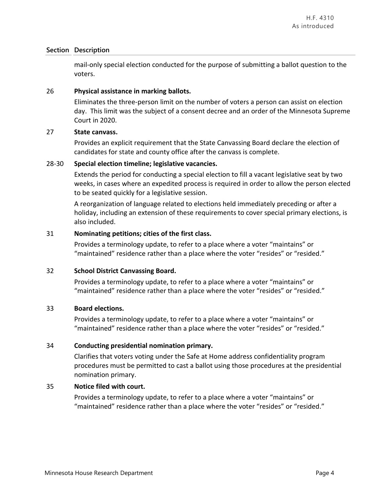mail-only special election conducted for the purpose of submitting a ballot question to the voters.

### 26 **Physical assistance in marking ballots.**

Eliminates the three-person limit on the number of voters a person can assist on election day. This limit was the subject of a consent decree and an order of the Minnesota Supreme Court in 2020.

### 27 **State canvass.**

Provides an explicit requirement that the State Canvassing Board declare the election of candidates for state and county office after the canvass is complete.

### 28-30 **Special election timeline; legislative vacancies.**

Extends the period for conducting a special election to fill a vacant legislative seat by two weeks, in cases where an expedited process is required in order to allow the person elected to be seated quickly for a legislative session.

A reorganization of language related to elections held immediately preceding or after a holiday, including an extension of these requirements to cover special primary elections, is also included.

### 31 **Nominating petitions; cities of the first class.**

Provides a terminology update, to refer to a place where a voter "maintains" or "maintained" residence rather than a place where the voter "resides" or "resided."

## 32 **School District Canvassing Board.**

Provides a terminology update, to refer to a place where a voter "maintains" or "maintained" residence rather than a place where the voter "resides" or "resided."

### 33 **Board elections.**

Provides a terminology update, to refer to a place where a voter "maintains" or "maintained" residence rather than a place where the voter "resides" or "resided."

## 34 **Conducting presidential nomination primary.**

Clarifies that voters voting under the Safe at Home address confidentiality program procedures must be permitted to cast a ballot using those procedures at the presidential nomination primary.

### 35 **Notice filed with court.**